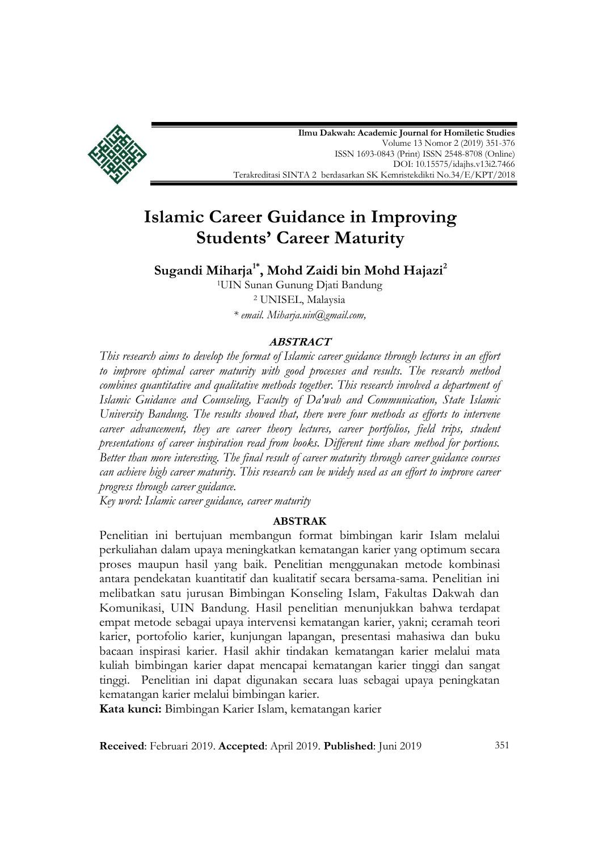

**Ilmu Dakwah: Academic Journal for Homiletic Studies** Volume 13 Nomor 2 (2019) 351-376 ISS[N 1693-0843](http://u.lipi.go.id/1180428623) (Print) ISS[N 2548-8708](http://u.lipi.go.id/1481952475) (Online) [DOI: 10.15575/idajhs.v13i2.7466](https://doi.org/10.15575/idajhs.v12i1.1886) Terakreditasi SINTA 2 berdasarkan SK Kemristekdikti [No.34/E/KPT/2018](http://arjuna.ristekdikti.go.id/files/berita/Salinan_SK_Peringkat_Akreditasi_Elektronik_Periode_III.pdf)

# **Islamic Career Guidance in Improving Students' Career Maturity**

**Sugandi Miharja1\* , Mohd Zaidi bin Mohd Hajazi<sup>2</sup>**

<sup>1</sup>UIN Sunan Gunung Djati Bandung <sup>2</sup> UNISEL, Malaysia *\* email. [Miharja.uin@gmail.com,](mailto:email.%20Miharja.uin@gmail.com,)* 

### **ABSTRACT**

*This research aims to develop the format of Islamic career guidance through lectures in an effort to improve optimal career maturity with good processes and results. The research method combines quantitative and qualitative methods together. This research involved a department of Islamic Guidance and Counseling, Faculty of Da'wah and Communication, State Islamic University Bandung. The results showed that, there were four methods as efforts to intervene career advancement, they are career theory lectures, career portfolios, field trips, student presentations of career inspiration read from books. Different time share method for portions. Better than more interesting. The final result of career maturity through career guidance courses can achieve high career maturity. This research can be widely used as an effort to improve career progress through career guidance.*

*Key word: Islamic career guidance, career maturity*

### **ABSTRAK**

Penelitian ini bertujuan membangun format bimbingan karir Islam melalui perkuliahan dalam upaya meningkatkan kematangan karier yang optimum secara proses maupun hasil yang baik. Penelitian menggunakan metode kombinasi antara pendekatan kuantitatif dan kualitatif secara bersama-sama. Penelitian ini melibatkan satu jurusan Bimbingan Konseling Islam, Fakultas Dakwah dan Komunikasi, UIN Bandung. Hasil penelitian menunjukkan bahwa terdapat empat metode sebagai upaya intervensi kematangan karier, yakni; ceramah teori karier, portofolio karier, kunjungan lapangan, presentasi mahasiwa dan buku bacaan inspirasi karier. Hasil akhir tindakan kematangan karier melalui mata kuliah bimbingan karier dapat mencapai kematangan karier tinggi dan sangat tinggi. Penelitian ini dapat digunakan secara luas sebagai upaya peningkatan kematangan karier melalui bimbingan karier.

**Kata kunci:** Bimbingan Karier Islam, kematangan karier

**Received**: Februari 2019. **Accepted**: April 2019. **Published**: Juni 2019 351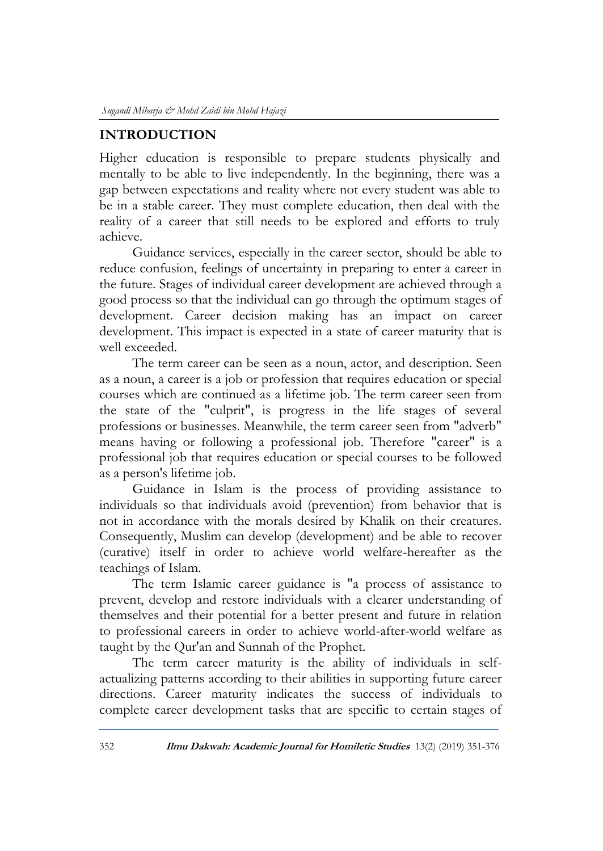## **INTRODUCTION**

Higher education is responsible to prepare students physically and mentally to be able to live independently. In the beginning, there was a gap between expectations and reality where not every student was able to be in a stable career. They must complete education, then deal with the reality of a career that still needs to be explored and efforts to truly achieve.

Guidance services, especially in the career sector, should be able to reduce confusion, feelings of uncertainty in preparing to enter a career in the future. Stages of individual career development are achieved through a good process so that the individual can go through the optimum stages of development. Career decision making has an impact on career development. This impact is expected in a state of career maturity that is well exceeded.

The term career can be seen as a noun, actor, and description. Seen as a noun, a career is a job or profession that requires education or special courses which are continued as a lifetime job. The term career seen from the state of the "culprit", is progress in the life stages of several professions or businesses. Meanwhile, the term career seen from "adverb" means having or following a professional job. Therefore "career" is a professional job that requires education or special courses to be followed as a person's lifetime job.

Guidance in Islam is the process of providing assistance to individuals so that individuals avoid (prevention) from behavior that is not in accordance with the morals desired by Khalik on their creatures. Consequently, Muslim can develop (development) and be able to recover (curative) itself in order to achieve world welfare-hereafter as the teachings of Islam.

The term Islamic career guidance is "a process of assistance to prevent, develop and restore individuals with a clearer understanding of themselves and their potential for a better present and future in relation to professional careers in order to achieve world-after-world welfare as taught by the Qur'an and Sunnah of the Prophet.

The term career maturity is the ability of individuals in selfactualizing patterns according to their abilities in supporting future career directions. Career maturity indicates the success of individuals to complete career development tasks that are specific to certain stages of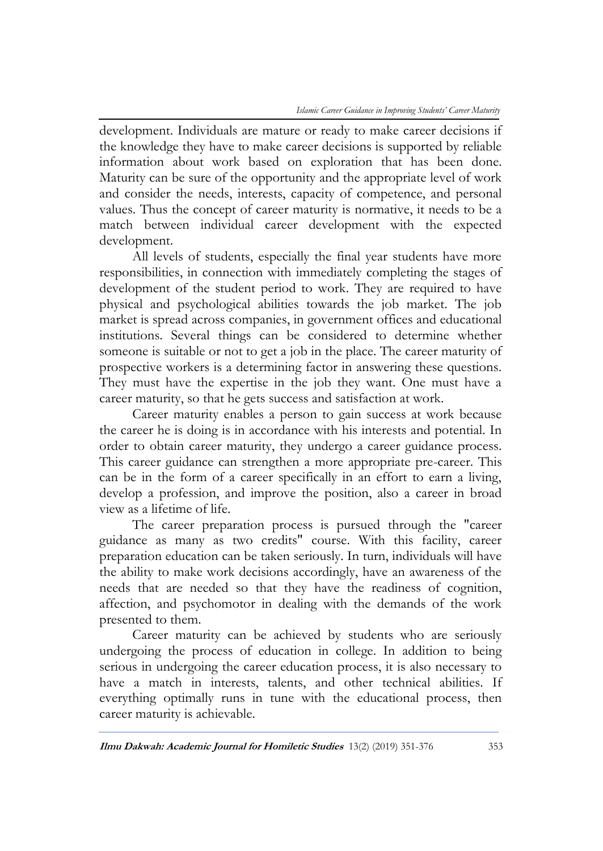development. Individuals are mature or ready to make career decisions if the knowledge they have to make career decisions is supported by reliable information about work based on exploration that has been done. Maturity can be sure of the opportunity and the appropriate level of work and consider the needs, interests, capacity of competence, and personal values. Thus the concept of career maturity is normative, it needs to be a match between individual career development with the expected development.

All levels of students, especially the final year students have more responsibilities, in connection with immediately completing the stages of development of the student period to work. They are required to have physical and psychological abilities towards the job market. The job market is spread across companies, in government offices and educational institutions. Several things can be considered to determine whether someone is suitable or not to get a job in the place. The career maturity of prospective workers is a determining factor in answering these questions. They must have the expertise in the job they want. One must have a career maturity, so that he gets success and satisfaction at work.

Career maturity enables a person to gain success at work because the career he is doing is in accordance with his interests and potential. In order to obtain career maturity, they undergo a career guidance process. This career guidance can strengthen a more appropriate pre-career. This can be in the form of a career specifically in an effort to earn a living, develop a profession, and improve the position, also a career in broad view as a lifetime of life.

The career preparation process is pursued through the "career guidance as many as two credits" course. With this facility, career preparation education can be taken seriously. In turn, individuals will have the ability to make work decisions accordingly, have an awareness of the needs that are needed so that they have the readiness of cognition, affection, and psychomotor in dealing with the demands of the work presented to them.

Career maturity can be achieved by students who are seriously undergoing the process of education in college. In addition to being serious in undergoing the career education process, it is also necessary to have a match in interests, talents, and other technical abilities. If everything optimally runs in tune with the educational process, then career maturity is achievable.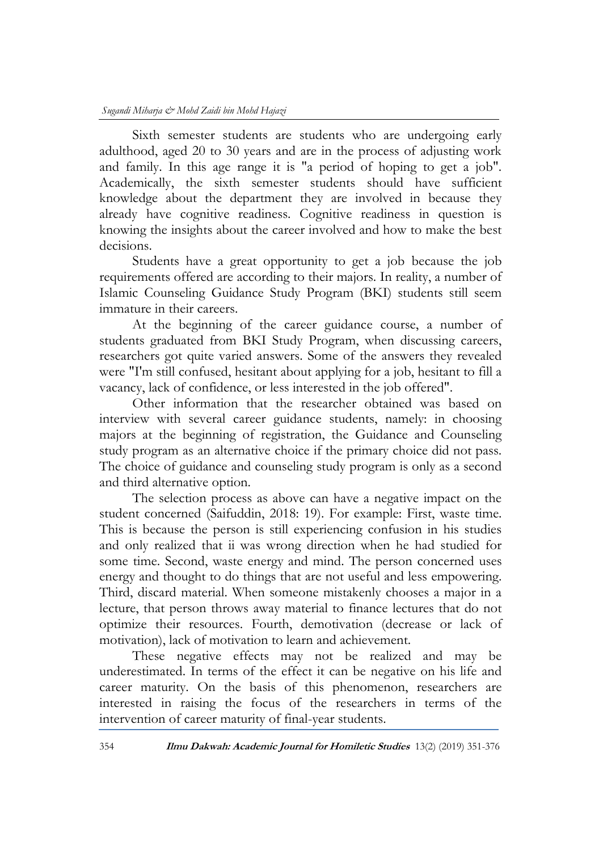Sixth semester students are students who are undergoing early adulthood, aged 20 to 30 years and are in the process of adjusting work and family. In this age range it is "a period of hoping to get a job". Academically, the sixth semester students should have sufficient knowledge about the department they are involved in because they already have cognitive readiness. Cognitive readiness in question is knowing the insights about the career involved and how to make the best decisions.

Students have a great opportunity to get a job because the job requirements offered are according to their majors. In reality, a number of Islamic Counseling Guidance Study Program (BKI) students still seem immature in their careers.

At the beginning of the career guidance course, a number of students graduated from BKI Study Program, when discussing careers, researchers got quite varied answers. Some of the answers they revealed were "I'm still confused, hesitant about applying for a job, hesitant to fill a vacancy, lack of confidence, or less interested in the job offered".

Other information that the researcher obtained was based on interview with several career guidance students, namely: in choosing majors at the beginning of registration, the Guidance and Counseling study program as an alternative choice if the primary choice did not pass. The choice of guidance and counseling study program is only as a second and third alternative option.

The selection process as above can have a negative impact on the student concerned (Saifuddin, 2018: 19). For example: First, waste time. This is because the person is still experiencing confusion in his studies and only realized that ii was wrong direction when he had studied for some time. Second, waste energy and mind. The person concerned uses energy and thought to do things that are not useful and less empowering. Third, discard material. When someone mistakenly chooses a major in a lecture, that person throws away material to finance lectures that do not optimize their resources. Fourth, demotivation (decrease or lack of motivation), lack of motivation to learn and achievement.

These negative effects may not be realized and may be underestimated. In terms of the effect it can be negative on his life and career maturity. On the basis of this phenomenon, researchers are interested in raising the focus of the researchers in terms of the intervention of career maturity of final-year students.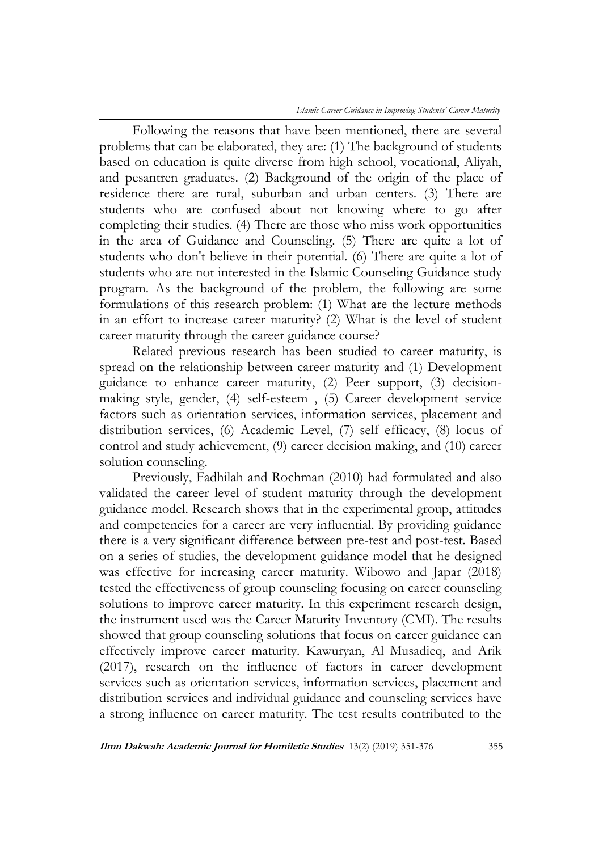Following the reasons that have been mentioned, there are several problems that can be elaborated, they are: (1) The background of students based on education is quite diverse from high school, vocational, Aliyah, and pesantren graduates. (2) Background of the origin of the place of residence there are rural, suburban and urban centers. (3) There are students who are confused about not knowing where to go after completing their studies. (4) There are those who miss work opportunities in the area of Guidance and Counseling. (5) There are quite a lot of students who don't believe in their potential. (6) There are quite a lot of students who are not interested in the Islamic Counseling Guidance study program. As the background of the problem, the following are some formulations of this research problem: (1) What are the lecture methods in an effort to increase career maturity? (2) What is the level of student career maturity through the career guidance course?

Related previous research has been studied to career maturity, is spread on the relationship between career maturity and (1) Development guidance to enhance career maturity, (2) Peer support, (3) decisionmaking style, gender, (4) self-esteem , (5) Career development service factors such as orientation services, information services, placement and distribution services, (6) Academic Level, (7) self efficacy, (8) locus of control and study achievement, (9) career decision making, and (10) career solution counseling.

Previously, Fadhilah and Rochman (2010) had formulated and also validated the career level of student maturity through the development guidance model. Research shows that in the experimental group, attitudes and competencies for a career are very influential. By providing guidance there is a very significant difference between pre-test and post-test. Based on a series of studies, the development guidance model that he designed was effective for increasing career maturity. Wibowo and Japar (2018) tested the effectiveness of group counseling focusing on career counseling solutions to improve career maturity. In this experiment research design, the instrument used was the Career Maturity Inventory (CMI). The results showed that group counseling solutions that focus on career guidance can effectively improve career maturity. Kawuryan, Al Musadieq, and Arik (2017), research on the influence of factors in career development services such as orientation services, information services, placement and distribution services and individual guidance and counseling services have a strong influence on career maturity. The test results contributed to the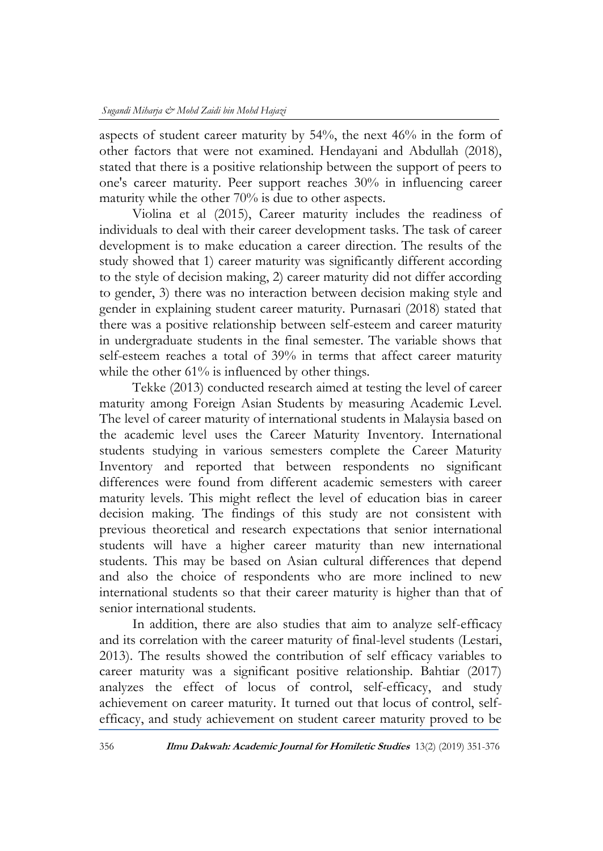aspects of student career maturity by 54%, the next 46% in the form of other factors that were not examined. Hendayani and Abdullah (2018), stated that there is a positive relationship between the support of peers to one's career maturity. Peer support reaches 30% in influencing career maturity while the other 70% is due to other aspects.

Violina et al (2015), Career maturity includes the readiness of individuals to deal with their career development tasks. The task of career development is to make education a career direction. The results of the study showed that 1) career maturity was significantly different according to the style of decision making, 2) career maturity did not differ according to gender, 3) there was no interaction between decision making style and gender in explaining student career maturity. Purnasari (2018) stated that there was a positive relationship between self-esteem and career maturity in undergraduate students in the final semester. The variable shows that self-esteem reaches a total of 39% in terms that affect career maturity while the other 61% is influenced by other things.

Tekke (2013) conducted research aimed at testing the level of career maturity among Foreign Asian Students by measuring Academic Level. The level of career maturity of international students in Malaysia based on the academic level uses the Career Maturity Inventory. International students studying in various semesters complete the Career Maturity Inventory and reported that between respondents no significant differences were found from different academic semesters with career maturity levels. This might reflect the level of education bias in career decision making. The findings of this study are not consistent with previous theoretical and research expectations that senior international students will have a higher career maturity than new international students. This may be based on Asian cultural differences that depend and also the choice of respondents who are more inclined to new international students so that their career maturity is higher than that of senior international students.

In addition, there are also studies that aim to analyze self-efficacy and its correlation with the career maturity of final-level students (Lestari, 2013). The results showed the contribution of self efficacy variables to career maturity was a significant positive relationship. Bahtiar (2017) analyzes the effect of locus of control, self-efficacy, and study achievement on career maturity. It turned out that locus of control, selfefficacy, and study achievement on student career maturity proved to be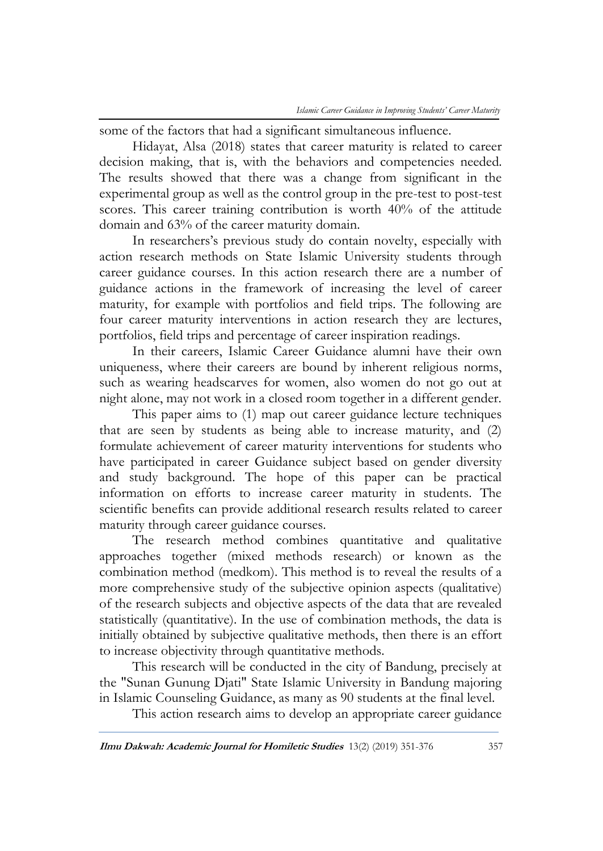some of the factors that had a significant simultaneous influence.

Hidayat, Alsa (2018) states that career maturity is related to career decision making, that is, with the behaviors and competencies needed. The results showed that there was a change from significant in the experimental group as well as the control group in the pre-test to post-test scores. This career training contribution is worth 40% of the attitude domain and 63% of the career maturity domain.

In researchers's previous study do contain novelty, especially with action research methods on State Islamic University students through career guidance courses. In this action research there are a number of guidance actions in the framework of increasing the level of career maturity, for example with portfolios and field trips. The following are four career maturity interventions in action research they are lectures, portfolios, field trips and percentage of career inspiration readings.

In their careers, Islamic Career Guidance alumni have their own uniqueness, where their careers are bound by inherent religious norms, such as wearing headscarves for women, also women do not go out at night alone, may not work in a closed room together in a different gender.

This paper aims to (1) map out career guidance lecture techniques that are seen by students as being able to increase maturity, and (2) formulate achievement of career maturity interventions for students who have participated in career Guidance subject based on gender diversity and study background. The hope of this paper can be practical information on efforts to increase career maturity in students. The scientific benefits can provide additional research results related to career maturity through career guidance courses.

The research method combines quantitative and qualitative approaches together (mixed methods research) or known as the combination method (medkom). This method is to reveal the results of a more comprehensive study of the subjective opinion aspects (qualitative) of the research subjects and objective aspects of the data that are revealed statistically (quantitative). In the use of combination methods, the data is initially obtained by subjective qualitative methods, then there is an effort to increase objectivity through quantitative methods.

This research will be conducted in the city of Bandung, precisely at the "Sunan Gunung Djati" State Islamic University in Bandung majoring in Islamic Counseling Guidance, as many as 90 students at the final level.

This action research aims to develop an appropriate career guidance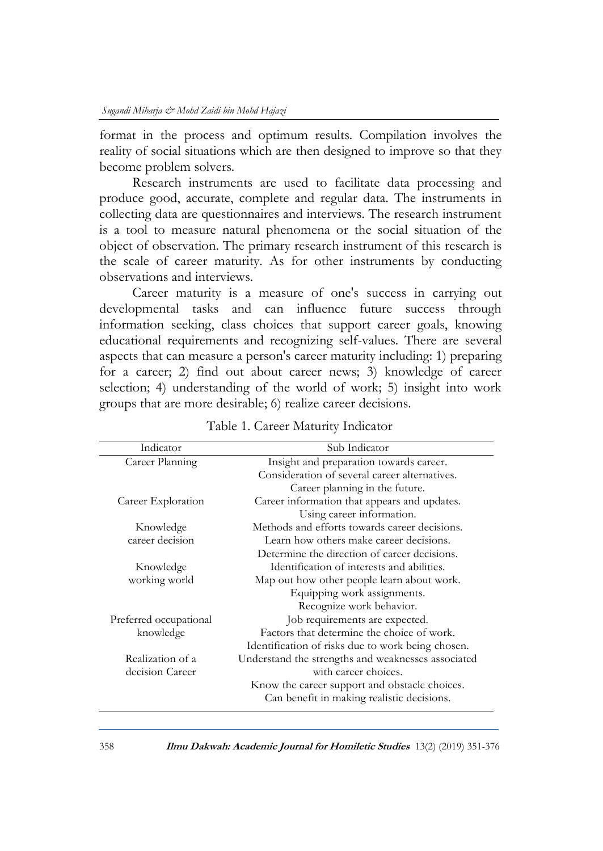format in the process and optimum results. Compilation involves the reality of social situations which are then designed to improve so that they become problem solvers.

Research instruments are used to facilitate data processing and produce good, accurate, complete and regular data. The instruments in collecting data are questionnaires and interviews. The research instrument is a tool to measure natural phenomena or the social situation of the object of observation. The primary research instrument of this research is the scale of career maturity. As for other instruments by conducting observations and interviews.

Career maturity is a measure of one's success in carrying out developmental tasks and can influence future success through information seeking, class choices that support career goals, knowing educational requirements and recognizing self-values. There are several aspects that can measure a person's career maturity including: 1) preparing for a career; 2) find out about career news; 3) knowledge of career selection; 4) understanding of the world of work; 5) insight into work groups that are more desirable; 6) realize career decisions.

| Indicator              | Sub Indicator                                      |  |
|------------------------|----------------------------------------------------|--|
| Career Planning        | Insight and preparation towards career.            |  |
|                        | Consideration of several career alternatives.      |  |
|                        | Career planning in the future.                     |  |
| Career Exploration     | Career information that appears and updates.       |  |
|                        | Using career information.                          |  |
| Knowledge              | Methods and efforts towards career decisions.      |  |
| career decision        | Learn how others make career decisions.            |  |
|                        | Determine the direction of career decisions.       |  |
| Knowledge              | Identification of interests and abilities.         |  |
| working world          | Map out how other people learn about work.         |  |
|                        | Equipping work assignments.                        |  |
|                        | Recognize work behavior.                           |  |
| Preferred occupational | Job requirements are expected.                     |  |
| knowledge              | Factors that determine the choice of work.         |  |
|                        | Identification of risks due to work being chosen.  |  |
| Realization of a       | Understand the strengths and weaknesses associated |  |
| decision Career        | with career choices.                               |  |
|                        | Know the career support and obstacle choices.      |  |
|                        | Can benefit in making realistic decisions.         |  |
|                        |                                                    |  |

Table 1. Career Maturity Indicator

358 **Ilmu Dakwah: Academic Journal for Homiletic Studies** 13(2) (2019) 351-376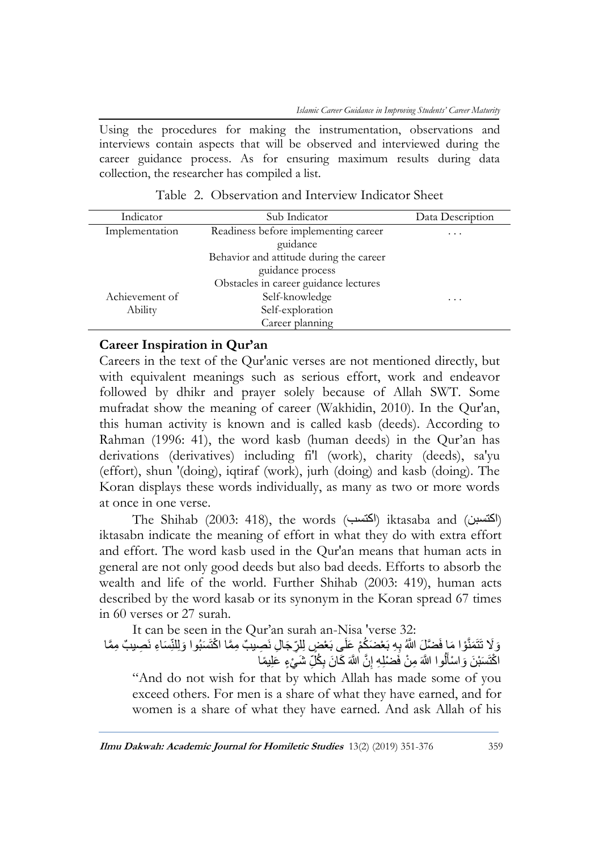Using the procedures for making the instrumentation, observations and interviews contain aspects that will be observed and interviewed during the career guidance process. As for ensuring maximum results during data collection, the researcher has compiled a list.

| Indicator      | Sub Indicator                           | Data Description |
|----------------|-----------------------------------------|------------------|
| Implementation | Readiness before implementing career    | .                |
|                | guidance                                |                  |
|                | Behavior and attitude during the career |                  |
|                | guidance process                        |                  |
|                | Obstacles in career guidance lectures   |                  |
| Achievement of | Self-knowledge                          | .                |
| Ability        | Self-exploration                        |                  |
|                | Career planning                         |                  |
|                |                                         |                  |

Table 2. Observation and Interview Indicator Sheet

### **Career Inspiration in Qur'an**

Careers in the text of the Qur'anic verses are not mentioned directly, but with equivalent meanings such as serious effort, work and endeavor followed by dhikr and prayer solely because of Allah SWT. Some mufradat show the meaning of career (Wakhidin, 2010). In the Qur'an, this human activity is known and is called kasb (deeds). According to Rahman (1996: 41), the word kasb (human deeds) in the Qur'an has derivations (derivatives) including fi'l (work), charity (deeds), sa'yu (effort), shun '(doing), iqtiraf (work), jurh (doing) and kasb (doing). The Koran displays these words individually, as many as two or more words at once in one verse.

The Shihab (2003: 418), the words (اكتسبن) iktasaba and (اكتسبن) iktasabn indicate the meaning of effort in what they do with extra effort and effort. The word kasb used in the Qur'an means that human acts in general are not only good deeds but also bad deeds. Efforts to absorb the wealth and life of the world. Further Shihab (2003: 419), human acts described by the word kasab or its synonym in the Koran spread 67 times in 60 verses or 27 surah.

It can be seen in the Qur'an surah an-Nisa 'verse 32:

وَلَا تَتَمَنَّوْا مَا فَضَّلِّ اللَّهُ بِهِ بَعْضَكُمْ عَلَى بَعْضٍ لِلرِّجَالِ نَصِيبٌ مِمَّا اكْتَسَبُوا وَلِلنِّسَاءِ نَصِيبٌ مِمَّا اكْتَسَبْنَ وَاسْأَلُوا اللَّهَ مِنْ فَضْلِهِ إِنَّ اللَّهَ كَانَ بِكُلِّ شَيْءٍ عَلِيمًا ِ ِ َ

"And do not wish for that by which Allah has made some of you exceed others. For men is a share of what they have earned, and for women is a share of what they have earned. And ask Allah of his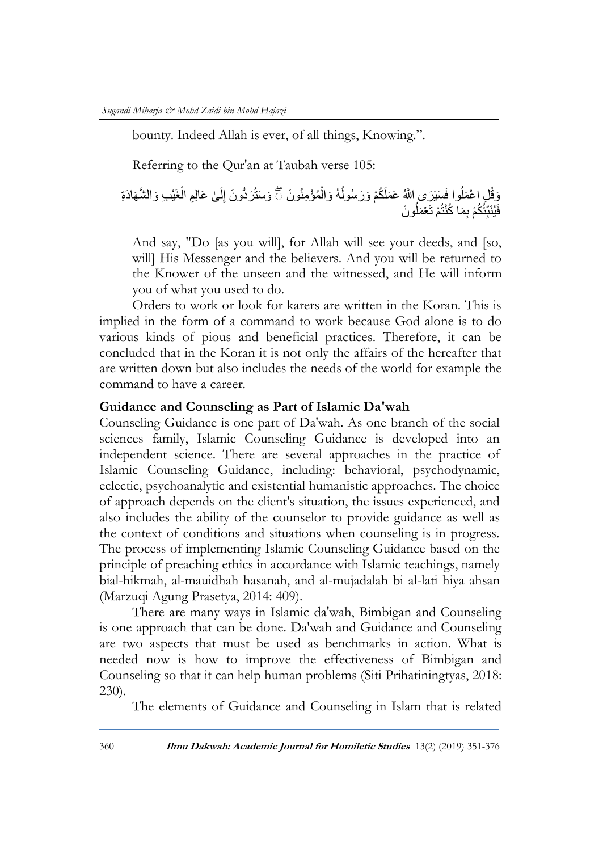bounty. Indeed Allah is ever, of all things, Knowing.".

Referring to the Qur'an at Taubah verse 105:

وَقُلِ اعْمَلُوا فَسَيَرَى إِللَّهُ عَمَلَكُمْ وَرَسُولُهُ وَالْمُؤْمِنُونَ ۖ وَسَتُرَدُّونَ إِلَىٰ عَالِمِ الْغَيْبِ وَالشَّهَادَةِ ْ ُ ْ نَ ِ فَيُنَبِّئُكُمْ بِمَا كُنْتُمْ تَعْمَلُونَ

And say, "Do [as you will], for Allah will see your deeds, and [so, will] His Messenger and the believers. And you will be returned to the Knower of the unseen and the witnessed, and He will inform you of what you used to do.

Orders to work or look for karers are written in the Koran. This is implied in the form of a command to work because God alone is to do various kinds of pious and beneficial practices. Therefore, it can be concluded that in the Koran it is not only the affairs of the hereafter that are written down but also includes the needs of the world for example the command to have a career.

#### **Guidance and Counseling as Part of Islamic Da'wah**

Counseling Guidance is one part of Da'wah. As one branch of the social sciences family, Islamic Counseling Guidance is developed into an independent science. There are several approaches in the practice of Islamic Counseling Guidance, including: behavioral, psychodynamic, eclectic, psychoanalytic and existential humanistic approaches. The choice of approach depends on the client's situation, the issues experienced, and also includes the ability of the counselor to provide guidance as well as the context of conditions and situations when counseling is in progress. The process of implementing Islamic Counseling Guidance based on the principle of preaching ethics in accordance with Islamic teachings, namely bial-hikmah, al-mauidhah hasanah, and al-mujadalah bi al-lati hiya ahsan (Marzuqi Agung Prasetya, 2014: 409).

There are many ways in Islamic da'wah, Bimbigan and Counseling is one approach that can be done. Da'wah and Guidance and Counseling are two aspects that must be used as benchmarks in action. What is needed now is how to improve the effectiveness of Bimbigan and Counseling so that it can help human problems (Siti Prihatiningtyas, 2018: 230).

The elements of Guidance and Counseling in Islam that is related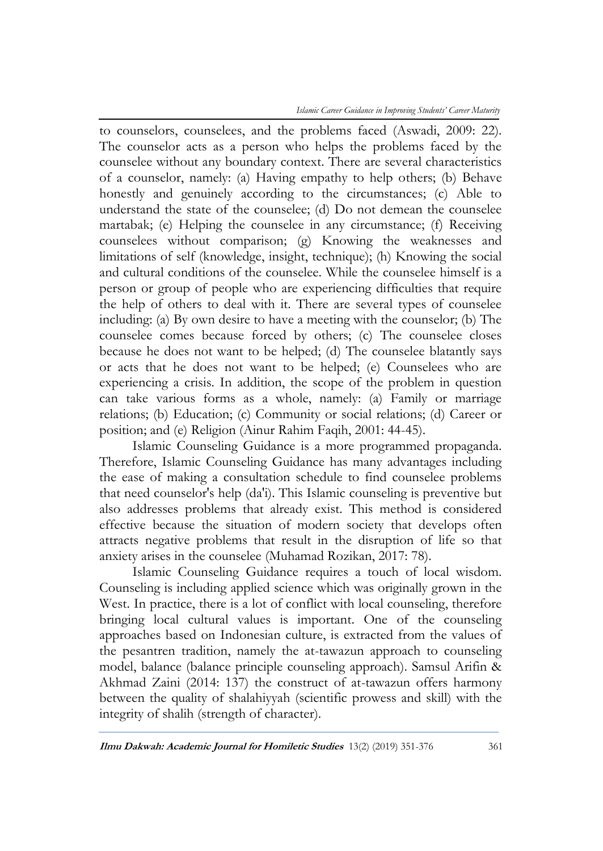*Islamic Career Guidance in Improving Students' Career Maturity*

to counselors, counselees, and the problems faced (Aswadi, 2009: 22). The counselor acts as a person who helps the problems faced by the counselee without any boundary context. There are several characteristics of a counselor, namely: (a) Having empathy to help others; (b) Behave honestly and genuinely according to the circumstances; (c) Able to understand the state of the counselee; (d) Do not demean the counselee martabak; (e) Helping the counselee in any circumstance; (f) Receiving counselees without comparison; (g) Knowing the weaknesses and limitations of self (knowledge, insight, technique); (h) Knowing the social and cultural conditions of the counselee. While the counselee himself is a person or group of people who are experiencing difficulties that require the help of others to deal with it. There are several types of counselee including: (a) By own desire to have a meeting with the counselor; (b) The counselee comes because forced by others; (c) The counselee closes because he does not want to be helped; (d) The counselee blatantly says or acts that he does not want to be helped; (e) Counselees who are experiencing a crisis. In addition, the scope of the problem in question can take various forms as a whole, namely: (a) Family or marriage relations; (b) Education; (c) Community or social relations; (d) Career or position; and (e) Religion (Ainur Rahim Faqih, 2001: 44-45).

Islamic Counseling Guidance is a more programmed propaganda. Therefore, Islamic Counseling Guidance has many advantages including the ease of making a consultation schedule to find counselee problems that need counselor's help (da'i). This Islamic counseling is preventive but also addresses problems that already exist. This method is considered effective because the situation of modern society that develops often attracts negative problems that result in the disruption of life so that anxiety arises in the counselee (Muhamad Rozikan, 2017: 78).

Islamic Counseling Guidance requires a touch of local wisdom. Counseling is including applied science which was originally grown in the West. In practice, there is a lot of conflict with local counseling, therefore bringing local cultural values is important. One of the counseling approaches based on Indonesian culture, is extracted from the values of the pesantren tradition, namely the at-tawazun approach to counseling model, balance (balance principle counseling approach). Samsul Arifin & Akhmad Zaini (2014: 137) the construct of at-tawazun offers harmony between the quality of shalahiyyah (scientific prowess and skill) with the integrity of shalih (strength of character).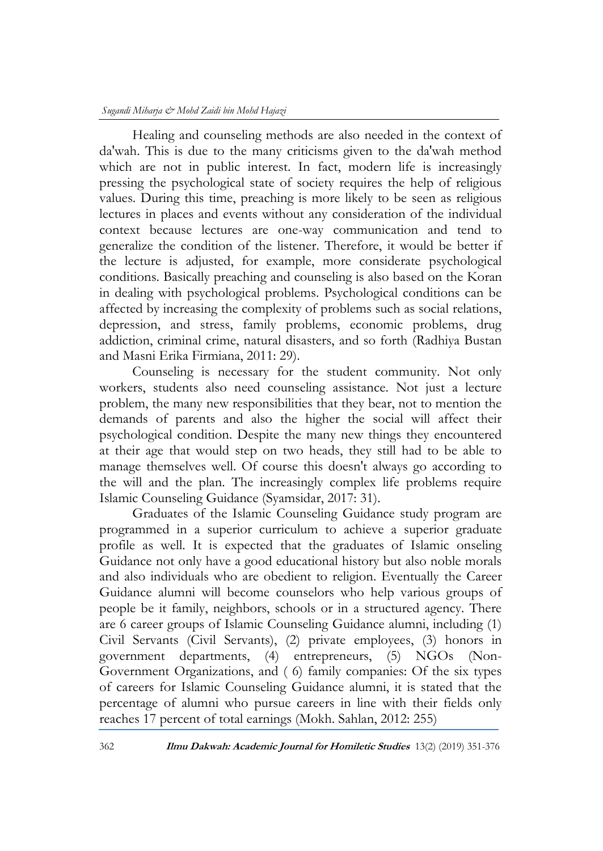Healing and counseling methods are also needed in the context of da'wah. This is due to the many criticisms given to the da'wah method which are not in public interest. In fact, modern life is increasingly pressing the psychological state of society requires the help of religious values. During this time, preaching is more likely to be seen as religious lectures in places and events without any consideration of the individual context because lectures are one-way communication and tend to generalize the condition of the listener. Therefore, it would be better if the lecture is adjusted, for example, more considerate psychological conditions. Basically preaching and counseling is also based on the Koran in dealing with psychological problems. Psychological conditions can be affected by increasing the complexity of problems such as social relations, depression, and stress, family problems, economic problems, drug addiction, criminal crime, natural disasters, and so forth (Radhiya Bustan and Masni Erika Firmiana, 2011: 29).

Counseling is necessary for the student community. Not only workers, students also need counseling assistance. Not just a lecture problem, the many new responsibilities that they bear, not to mention the demands of parents and also the higher the social will affect their psychological condition. Despite the many new things they encountered at their age that would step on two heads, they still had to be able to manage themselves well. Of course this doesn't always go according to the will and the plan. The increasingly complex life problems require Islamic Counseling Guidance (Syamsidar, 2017: 31).

Graduates of the Islamic Counseling Guidance study program are programmed in a superior curriculum to achieve a superior graduate profile as well. It is expected that the graduates of Islamic onseling Guidance not only have a good educational history but also noble morals and also individuals who are obedient to religion. Eventually the Career Guidance alumni will become counselors who help various groups of people be it family, neighbors, schools or in a structured agency. There are 6 career groups of Islamic Counseling Guidance alumni, including (1) Civil Servants (Civil Servants), (2) private employees, (3) honors in government departments, (4) entrepreneurs, (5) NGOs (Non-Government Organizations, and ( 6) family companies: Of the six types of careers for Islamic Counseling Guidance alumni, it is stated that the percentage of alumni who pursue careers in line with their fields only reaches 17 percent of total earnings (Mokh. Sahlan, 2012: 255)

362 **Ilmu Dakwah: Academic Journal for Homiletic Studies** 13(2) (2019) 351-376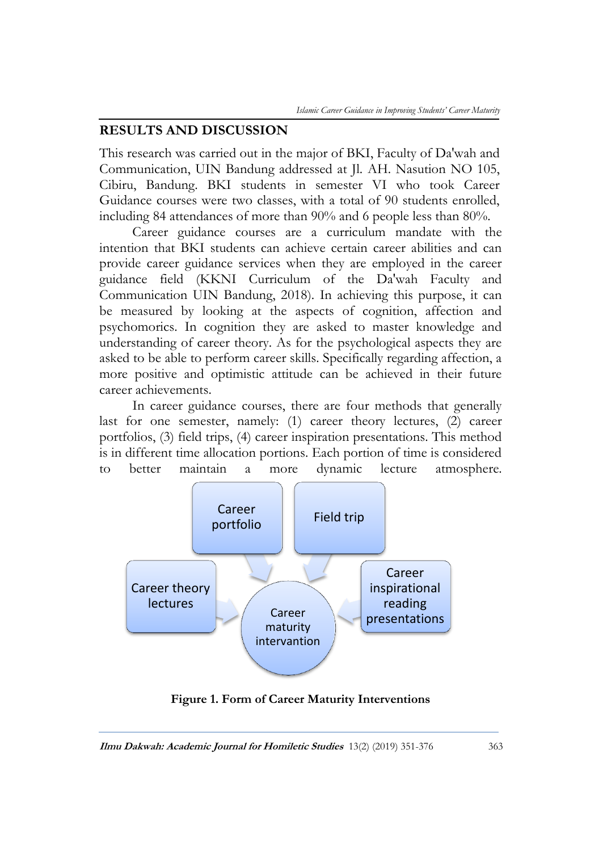### **RESULTS AND DISCUSSION**

This research was carried out in the major of BKI, Faculty of Da'wah and Communication, UIN Bandung addressed at Jl. AH. Nasution NO 105, Cibiru, Bandung. BKI students in semester VI who took Career Guidance courses were two classes, with a total of 90 students enrolled, including 84 attendances of more than 90% and 6 people less than 80%.

Career guidance courses are a curriculum mandate with the intention that BKI students can achieve certain career abilities and can provide career guidance services when they are employed in the career guidance field (KKNI Curriculum of the Da'wah Faculty and Communication UIN Bandung, 2018). In achieving this purpose, it can be measured by looking at the aspects of cognition, affection and psychomorics. In cognition they are asked to master knowledge and understanding of career theory. As for the psychological aspects they are asked to be able to perform career skills. Specifically regarding affection, a more positive and optimistic attitude can be achieved in their future career achievements.

In career guidance courses, there are four methods that generally last for one semester, namely: (1) career theory lectures, (2) career portfolios, (3) field trips, (4) career inspiration presentations. This method is in different time allocation portions. Each portion of time is considered to better maintain a more dynamic lecture atmosphere.



**Figure 1. Form of Career Maturity Interventions**

**Ilmu Dakwah: Academic Journal for Homiletic Studies** 13(2) (2019) 351-376 363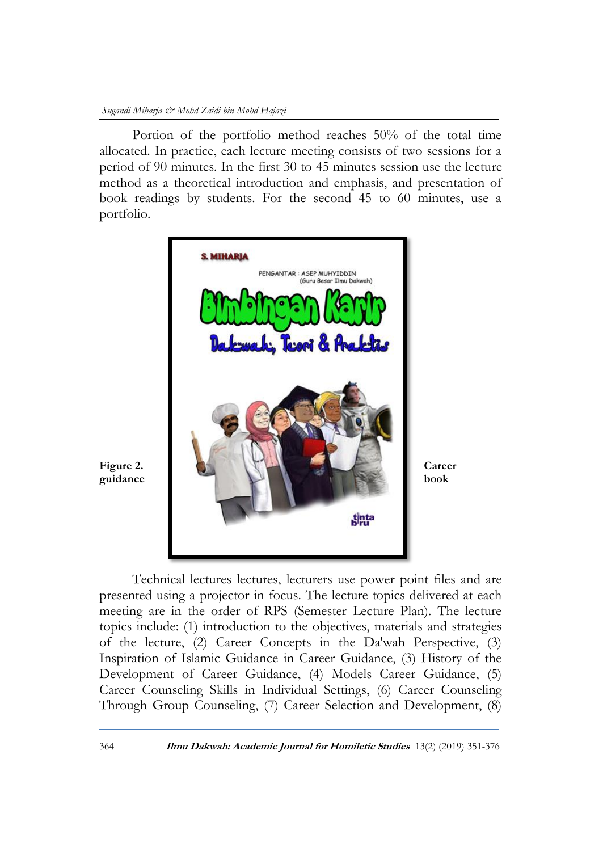Portion of the portfolio method reaches 50% of the total time allocated. In practice, each lecture meeting consists of two sessions for a period of 90 minutes. In the first 30 to 45 minutes session use the lecture method as a theoretical introduction and emphasis, and presentation of book readings by students. For the second 45 to 60 minutes, use a portfolio.



Technical lectures lectures, lecturers use power point files and are presented using a projector in focus. The lecture topics delivered at each meeting are in the order of RPS (Semester Lecture Plan). The lecture topics include: (1) introduction to the objectives, materials and strategies of the lecture, (2) Career Concepts in the Da'wah Perspective, (3) Inspiration of Islamic Guidance in Career Guidance, (3) History of the Development of Career Guidance, (4) Models Career Guidance, (5) Career Counseling Skills in Individual Settings, (6) Career Counseling Through Group Counseling, (7) Career Selection and Development, (8)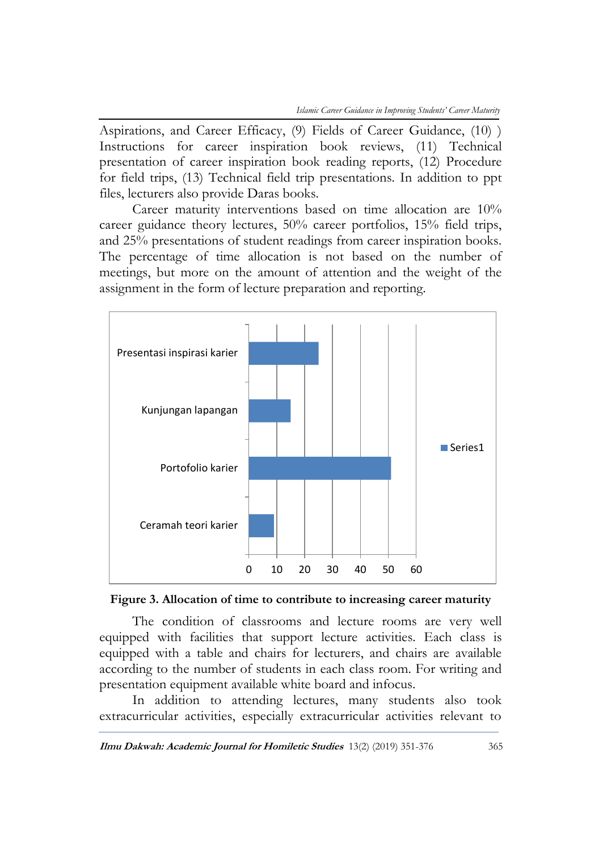Aspirations, and Career Efficacy, (9) Fields of Career Guidance, (10) ) Instructions for career inspiration book reviews, (11) Technical presentation of career inspiration book reading reports, (12) Procedure for field trips, (13) Technical field trip presentations. In addition to ppt files, lecturers also provide Daras books.

Career maturity interventions based on time allocation are 10% career guidance theory lectures, 50% career portfolios, 15% field trips, and 25% presentations of student readings from career inspiration books. The percentage of time allocation is not based on the number of meetings, but more on the amount of attention and the weight of the assignment in the form of lecture preparation and reporting.



**Figure 3. Allocation of time to contribute to increasing career maturity**

The condition of classrooms and lecture rooms are very well equipped with facilities that support lecture activities. Each class is equipped with a table and chairs for lecturers, and chairs are available according to the number of students in each class room. For writing and presentation equipment available white board and infocus.

In addition to attending lectures, many students also took extracurricular activities, especially extracurricular activities relevant to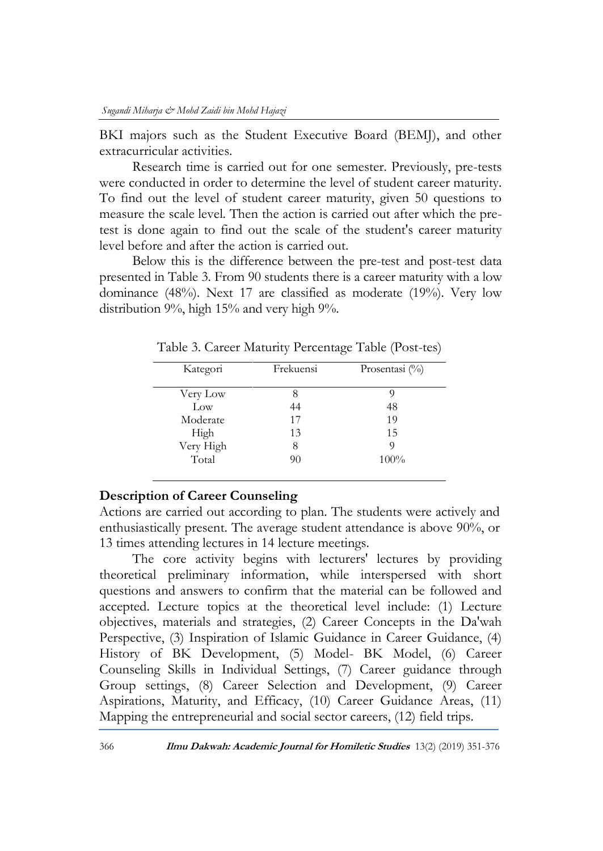BKI majors such as the Student Executive Board (BEMJ), and other extracurricular activities.

Research time is carried out for one semester. Previously, pre-tests were conducted in order to determine the level of student career maturity. To find out the level of student career maturity, given 50 questions to measure the scale level. Then the action is carried out after which the pretest is done again to find out the scale of the student's career maturity level before and after the action is carried out.

Below this is the difference between the pre-test and post-test data presented in Table 3. From 90 students there is a career maturity with a low dominance (48%). Next 17 are classified as moderate (19%). Very low distribution 9%, high 15% and very high 9%.

| Kategori  | Frekuensi | Prosentasi (%) |
|-----------|-----------|----------------|
| Very Low  |           |                |
| Low       | 44        | 48             |
| Moderate  | 17        | 19             |
| High      | 13        | 1.5            |
| Very High | 8         | O              |
| Total     | 90        | 100%           |

Table 3. Career Maturity Percentage Table (Post-tes)

### **Description of Career Counseling**

Actions are carried out according to plan. The students were actively and enthusiastically present. The average student attendance is above 90%, or 13 times attending lectures in 14 lecture meetings.

The core activity begins with lecturers' lectures by providing theoretical preliminary information, while interspersed with short questions and answers to confirm that the material can be followed and accepted. Lecture topics at the theoretical level include: (1) Lecture objectives, materials and strategies, (2) Career Concepts in the Da'wah Perspective, (3) Inspiration of Islamic Guidance in Career Guidance, (4) History of BK Development, (5) Model- BK Model, (6) Career Counseling Skills in Individual Settings, (7) Career guidance through Group settings, (8) Career Selection and Development, (9) Career Aspirations, Maturity, and Efficacy, (10) Career Guidance Areas, (11) Mapping the entrepreneurial and social sector careers, (12) field trips.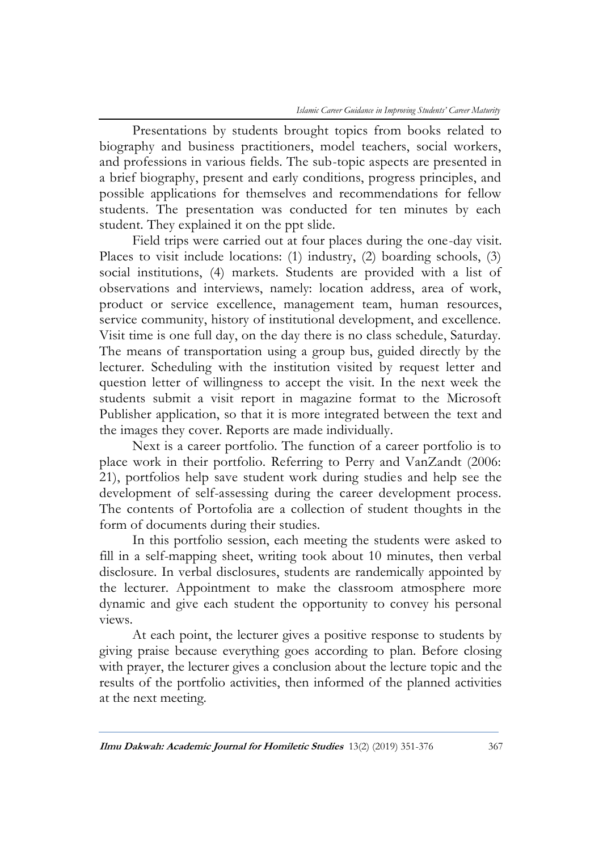Presentations by students brought topics from books related to biography and business practitioners, model teachers, social workers, and professions in various fields. The sub-topic aspects are presented in a brief biography, present and early conditions, progress principles, and possible applications for themselves and recommendations for fellow students. The presentation was conducted for ten minutes by each student. They explained it on the ppt slide.

Field trips were carried out at four places during the one-day visit. Places to visit include locations: (1) industry, (2) boarding schools, (3) social institutions, (4) markets. Students are provided with a list of observations and interviews, namely: location address, area of work, product or service excellence, management team, human resources, service community, history of institutional development, and excellence. Visit time is one full day, on the day there is no class schedule, Saturday. The means of transportation using a group bus, guided directly by the lecturer. Scheduling with the institution visited by request letter and question letter of willingness to accept the visit. In the next week the students submit a visit report in magazine format to the Microsoft Publisher application, so that it is more integrated between the text and the images they cover. Reports are made individually.

Next is a career portfolio. The function of a career portfolio is to place work in their portfolio. Referring to Perry and VanZandt (2006: 21), portfolios help save student work during studies and help see the development of self-assessing during the career development process. The contents of Portofolia are a collection of student thoughts in the form of documents during their studies.

In this portfolio session, each meeting the students were asked to fill in a self-mapping sheet, writing took about 10 minutes, then verbal disclosure. In verbal disclosures, students are randemically appointed by the lecturer. Appointment to make the classroom atmosphere more dynamic and give each student the opportunity to convey his personal views.

At each point, the lecturer gives a positive response to students by giving praise because everything goes according to plan. Before closing with prayer, the lecturer gives a conclusion about the lecture topic and the results of the portfolio activities, then informed of the planned activities at the next meeting.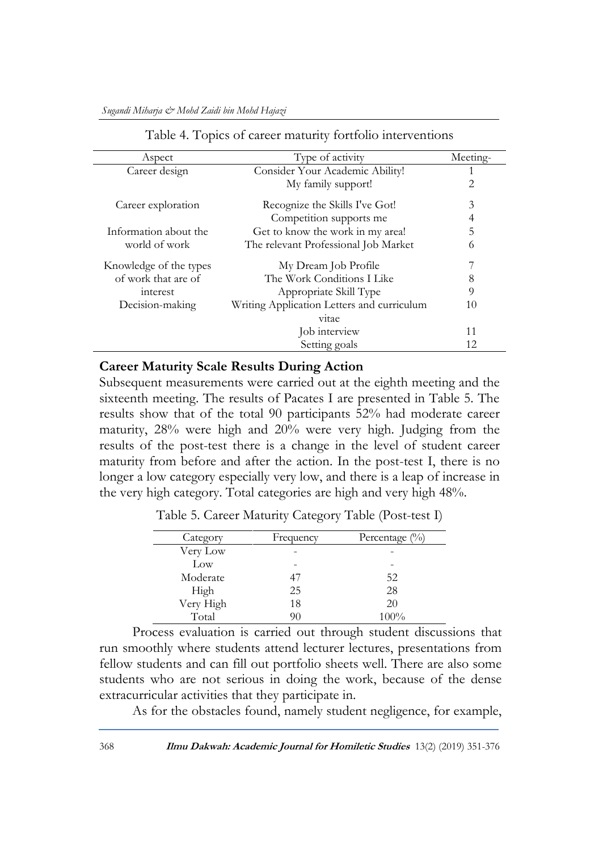| Aspect                 | Type of activity                           | Meeting- |
|------------------------|--------------------------------------------|----------|
| Career design          | Consider Your Academic Ability!            |          |
|                        | My family support!                         | 2        |
| Career exploration     | Recognize the Skills I've Got!             | 3        |
|                        | Competition supports me                    | 4        |
| Information about the  | Get to know the work in my area!           | 5        |
| world of work          | The relevant Professional Job Market       | 6        |
| Knowledge of the types | My Dream Job Profile                       | 7        |
| of work that are of    | The Work Conditions I Like                 | 8        |
| interest               | Appropriate Skill Type                     | 9        |
| Decision-making        | Writing Application Letters and curriculum | 10       |
|                        | vitae                                      |          |
|                        | Job interview                              | 11       |
|                        | Setting goals                              | 12       |

Table 4. Topics of career maturity fortfolio interventions

### **Career Maturity Scale Results During Action**

Subsequent measurements were carried out at the eighth meeting and the sixteenth meeting. The results of Pacates I are presented in Table 5. The results show that of the total 90 participants 52% had moderate career maturity, 28% were high and 20% were very high. Judging from the results of the post-test there is a change in the level of student career maturity from before and after the action. In the post-test I, there is no longer a low category especially very low, and there is a leap of increase in the very high category. Total categories are high and very high 48%.

| Category  | Frequency | Percentage $(\%)$ |
|-----------|-----------|-------------------|
| Very Low  |           |                   |
| Low       |           |                   |
| Moderate  | 47        | 52                |
| High      | 25        | 28                |
| Very High | 18        | 20                |
| Total     | 90        | 100%              |

Table 5. Career Maturity Category Table (Post-test I)

Process evaluation is carried out through student discussions that run smoothly where students attend lecturer lectures, presentations from fellow students and can fill out portfolio sheets well. There are also some students who are not serious in doing the work, because of the dense extracurricular activities that they participate in.

As for the obstacles found, namely student negligence, for example,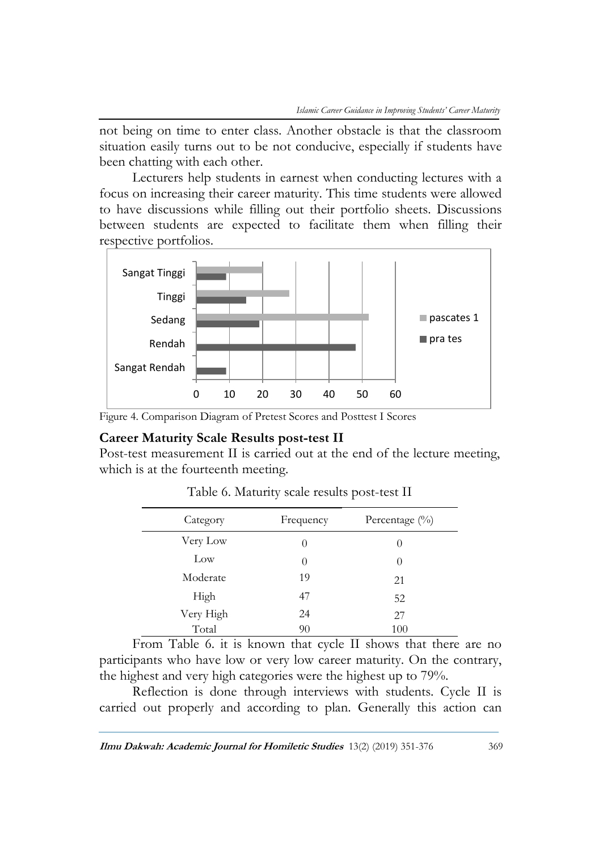not being on time to enter class. Another obstacle is that the classroom situation easily turns out to be not conducive, especially if students have been chatting with each other.

Lecturers help students in earnest when conducting lectures with a focus on increasing their career maturity. This time students were allowed to have discussions while filling out their portfolio sheets. Discussions between students are expected to facilitate them when filling their respective portfolios.



Figure 4. Comparison Diagram of Pretest Scores and Posttest I Scores

### **Career Maturity Scale Results post-test II**

Post-test measurement II is carried out at the end of the lecture meeting, which is at the fourteenth meeting.

| Category  | Frequency | Percentage (%) |
|-----------|-----------|----------------|
| Very Low  | $\theta$  | $\theta$       |
| Low       | $\theta$  | $\theta$       |
| Moderate  | 19        | 21             |
| High      | 47        | 52             |
| Very High | 24        | 27             |
| Total     | 90        | 100            |

Table 6. Maturity scale results post-test II

From Table 6. it is known that cycle II shows that there are no participants who have low or very low career maturity. On the contrary, the highest and very high categories were the highest up to 79%.

Reflection is done through interviews with students. Cycle II is carried out properly and according to plan. Generally this action can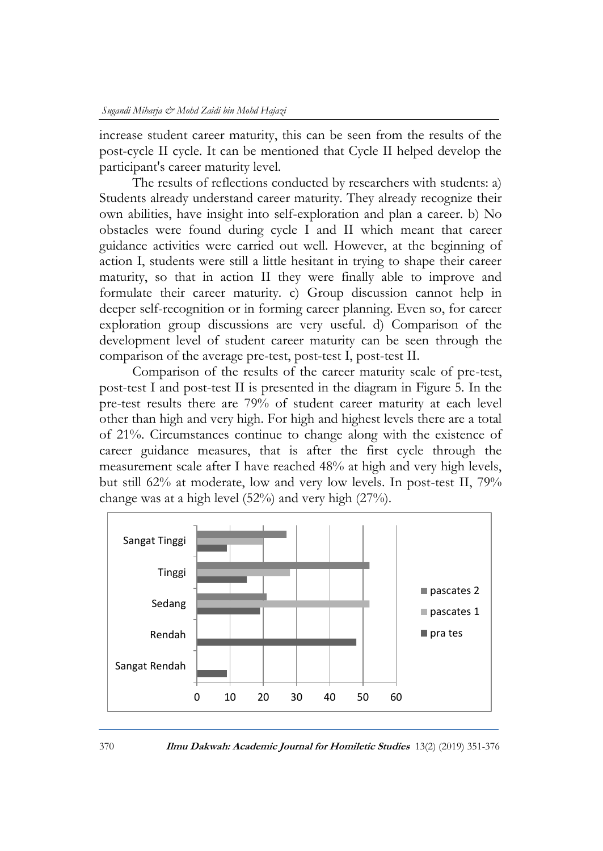increase student career maturity, this can be seen from the results of the post-cycle II cycle. It can be mentioned that Cycle II helped develop the participant's career maturity level.

The results of reflections conducted by researchers with students: a) Students already understand career maturity. They already recognize their own abilities, have insight into self-exploration and plan a career. b) No obstacles were found during cycle I and II which meant that career guidance activities were carried out well. However, at the beginning of action I, students were still a little hesitant in trying to shape their career maturity, so that in action II they were finally able to improve and formulate their career maturity. c) Group discussion cannot help in deeper self-recognition or in forming career planning. Even so, for career exploration group discussions are very useful. d) Comparison of the development level of student career maturity can be seen through the comparison of the average pre-test, post-test I, post-test II.

Comparison of the results of the career maturity scale of pre-test, post-test I and post-test II is presented in the diagram in Figure 5. In the pre-test results there are 79% of student career maturity at each level other than high and very high. For high and highest levels there are a total of 21%. Circumstances continue to change along with the existence of career guidance measures, that is after the first cycle through the measurement scale after I have reached 48% at high and very high levels, but still 62% at moderate, low and very low levels. In post-test II, 79% change was at a high level (52%) and very high (27%).



370 **Ilmu Dakwah: Academic Journal for Homiletic Studies** 13(2) (2019) 351-376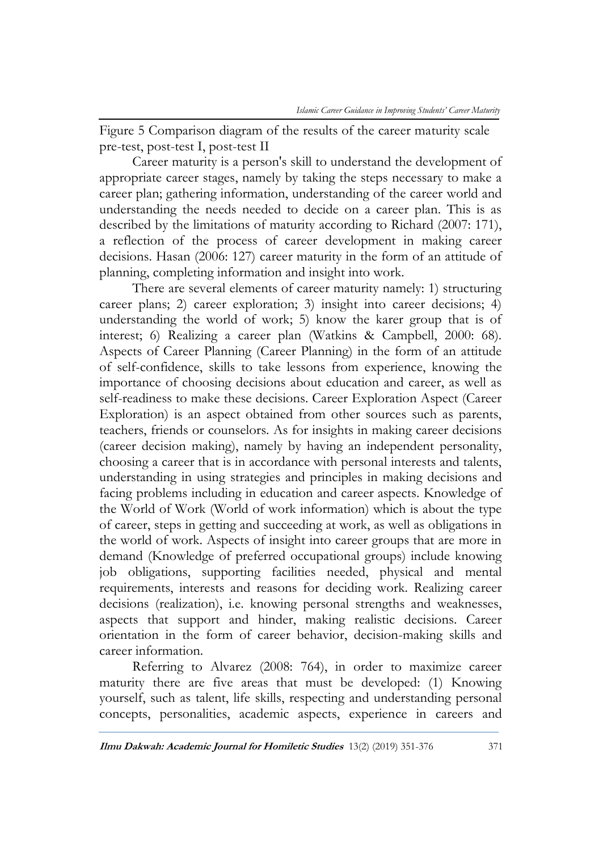Figure 5 Comparison diagram of the results of the career maturity scale pre-test, post-test I, post-test II

Career maturity is a person's skill to understand the development of appropriate career stages, namely by taking the steps necessary to make a career plan; gathering information, understanding of the career world and understanding the needs needed to decide on a career plan. This is as described by the limitations of maturity according to Richard (2007: 171), a reflection of the process of career development in making career decisions. Hasan (2006: 127) career maturity in the form of an attitude of planning, completing information and insight into work.

There are several elements of career maturity namely: 1) structuring career plans; 2) career exploration; 3) insight into career decisions; 4) understanding the world of work; 5) know the karer group that is of interest; 6) Realizing a career plan (Watkins & Campbell, 2000: 68). Aspects of Career Planning (Career Planning) in the form of an attitude of self-confidence, skills to take lessons from experience, knowing the importance of choosing decisions about education and career, as well as self-readiness to make these decisions. Career Exploration Aspect (Career Exploration) is an aspect obtained from other sources such as parents, teachers, friends or counselors. As for insights in making career decisions (career decision making), namely by having an independent personality, choosing a career that is in accordance with personal interests and talents, understanding in using strategies and principles in making decisions and facing problems including in education and career aspects. Knowledge of the World of Work (World of work information) which is about the type of career, steps in getting and succeeding at work, as well as obligations in the world of work. Aspects of insight into career groups that are more in demand (Knowledge of preferred occupational groups) include knowing job obligations, supporting facilities needed, physical and mental requirements, interests and reasons for deciding work. Realizing career decisions (realization), i.e. knowing personal strengths and weaknesses, aspects that support and hinder, making realistic decisions. Career orientation in the form of career behavior, decision-making skills and career information.

Referring to Alvarez (2008: 764), in order to maximize career maturity there are five areas that must be developed: (1) Knowing yourself, such as talent, life skills, respecting and understanding personal concepts, personalities, academic aspects, experience in careers and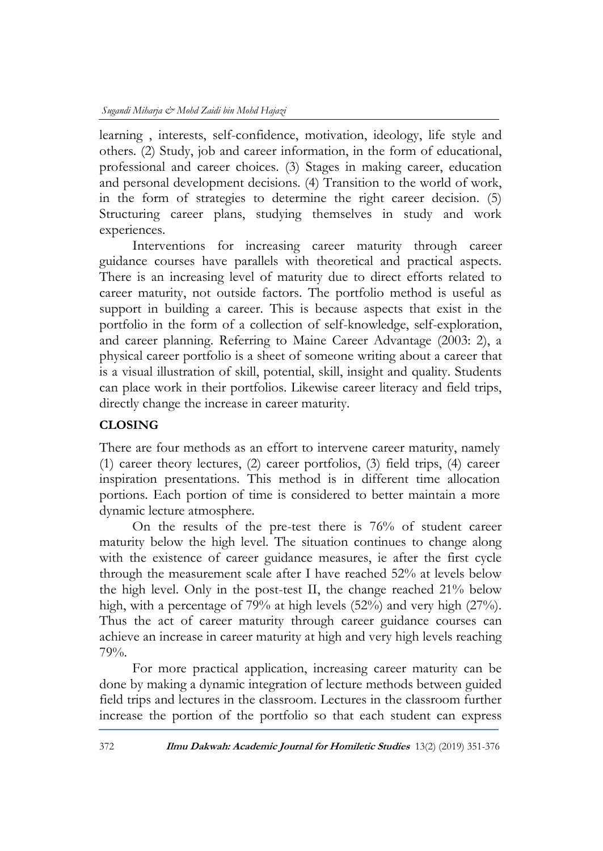learning , interests, self-confidence, motivation, ideology, life style and others. (2) Study, job and career information, in the form of educational, professional and career choices. (3) Stages in making career, education and personal development decisions. (4) Transition to the world of work, in the form of strategies to determine the right career decision. (5) Structuring career plans, studying themselves in study and work experiences.

Interventions for increasing career maturity through career guidance courses have parallels with theoretical and practical aspects. There is an increasing level of maturity due to direct efforts related to career maturity, not outside factors. The portfolio method is useful as support in building a career. This is because aspects that exist in the portfolio in the form of a collection of self-knowledge, self-exploration, and career planning. Referring to Maine Career Advantage (2003: 2), a physical career portfolio is a sheet of someone writing about a career that is a visual illustration of skill, potential, skill, insight and quality. Students can place work in their portfolios. Likewise career literacy and field trips, directly change the increase in career maturity.

### **CLOSING**

There are four methods as an effort to intervene career maturity, namely (1) career theory lectures, (2) career portfolios, (3) field trips, (4) career inspiration presentations. This method is in different time allocation portions. Each portion of time is considered to better maintain a more dynamic lecture atmosphere.

On the results of the pre-test there is 76% of student career maturity below the high level. The situation continues to change along with the existence of career guidance measures, ie after the first cycle through the measurement scale after I have reached 52% at levels below the high level. Only in the post-test II, the change reached 21% below high, with a percentage of 79% at high levels (52%) and very high (27%). Thus the act of career maturity through career guidance courses can achieve an increase in career maturity at high and very high levels reaching 79%.

For more practical application, increasing career maturity can be done by making a dynamic integration of lecture methods between guided field trips and lectures in the classroom. Lectures in the classroom further increase the portion of the portfolio so that each student can express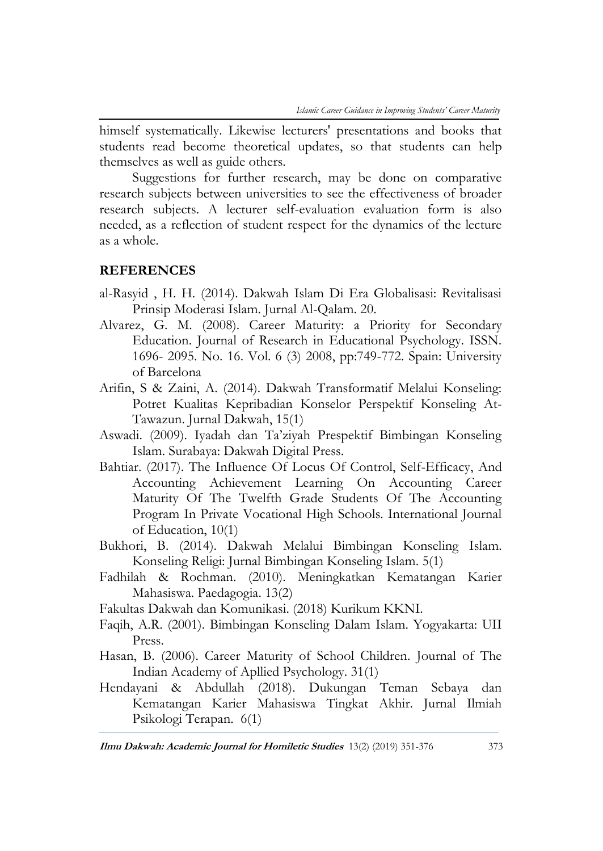himself systematically. Likewise lecturers' presentations and books that students read become theoretical updates, so that students can help themselves as well as guide others.

Suggestions for further research, may be done on comparative research subjects between universities to see the effectiveness of broader research subjects. A lecturer self-evaluation evaluation form is also needed, as a reflection of student respect for the dynamics of the lecture as a whole.

### **REFERENCES**

- al-Rasyid , H. H. (2014). Dakwah Islam Di Era Globalisasi: Revitalisasi Prinsip Moderasi Islam. Jurnal Al-Qalam. 20.
- Alvarez, G. M. (2008). Career Maturity: a Priority for Secondary Education. Journal of Research in Educational Psychology. ISSN. 1696- 2095. No. 16. Vol. 6 (3) 2008, pp:749-772. Spain: University of Barcelona
- Arifin, S & Zaini, A. (2014). Dakwah Transformatif Melalui Konseling: Potret Kualitas Kepribadian Konselor Perspektif Konseling At-Tawazun. Jurnal Dakwah, 15(1)
- Aswadi. (2009). Iyadah dan Ta'ziyah Prespektif Bimbingan Konseling Islam. Surabaya: Dakwah Digital Press.
- Bahtiar. (2017). The Influence Of Locus Of Control, Self-Efficacy, And Accounting Achievement Learning On Accounting Career Maturity Of The Twelfth Grade Students Of The Accounting Program In Private Vocational High Schools. International Journal of Education, 10(1)
- Bukhori, B. (2014). Dakwah Melalui Bimbingan Konseling Islam. Konseling Religi: Jurnal Bimbingan Konseling Islam. 5(1)
- Fadhilah & Rochman. (2010). Meningkatkan Kematangan Karier Mahasiswa. Paedagogia. 13(2)
- Fakultas Dakwah dan Komunikasi. (2018) Kurikum KKNI.
- Faqih, A.R. (2001). Bimbingan Konseling Dalam Islam. Yogyakarta: UII Press.
- Hasan, B. (2006). Career Maturity of School Children. Journal of The Indian Academy of Apllied Psychology. 31(1)
- Hendayani & Abdullah (2018). Dukungan Teman Sebaya dan Kematangan Karier Mahasiswa Tingkat Akhir. Jurnal Ilmiah Psikologi Terapan. 6(1)

**Ilmu Dakwah: Academic Journal for Homiletic Studies** 13(2) (2019) 351-376 373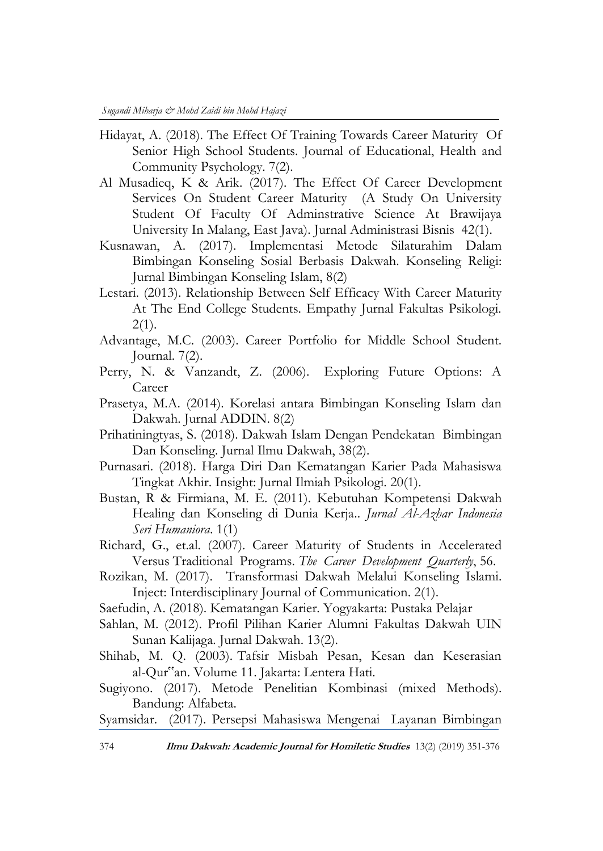- Hidayat, A. (2018). The Effect Of Training Towards Career Maturity Of Senior High School Students. Journal of Educational, Health and Community Psychology. 7(2).
- Al Musadieq, K & Arik. (2017). The Effect Of Career Development Services On Student Career Maturity (A Study On University Student Of Faculty Of Adminstrative Science At Brawijaya University In Malang, East Java). Jurnal Administrasi Bisnis 42(1).
- Kusnawan, A. (2017). Implementasi Metode Silaturahim Dalam Bimbingan Konseling Sosial Berbasis Dakwah. Konseling Religi: Jurnal Bimbingan Konseling Islam, 8(2)
- Lestari. (2013). Relationship Between Self Efficacy With Career Maturity At The End College Students. Empathy Jurnal Fakultas Psikologi.  $2(1)$ .
- Advantage, M.C. (2003). Career Portfolio for Middle School Student. Journal. 7(2).
- Perry, N. & Vanzandt, Z. (2006). Exploring Future Options: A Career
- Prasetya, M.A. (2014). Korelasi antara Bimbingan Konseling Islam dan Dakwah. Jurnal ADDIN. 8(2)
- Prihatiningtyas, S. (2018). Dakwah Islam Dengan Pendekatan Bimbingan Dan Konseling. Jurnal Ilmu Dakwah, 38(2).
- Purnasari. (2018). Harga Diri Dan Kematangan Karier Pada Mahasiswa Tingkat Akhir. Insight: Jurnal Ilmiah Psikologi. 20(1).
- Bustan, R & Firmiana, M. E. (2011). Kebutuhan Kompetensi Dakwah Healing dan Konseling di Dunia Kerja.. *Jurnal Al-Azhar Indonesia Seri Humaniora*. 1(1)
- Richard, G., et.al. (2007). Career Maturity of Students in Accelerated Versus Traditional Programs. *The Career Development Quarterly*, 56.
- Rozikan, M. (2017). Transformasi Dakwah Melalui Konseling Islami. Inject: Interdisciplinary Journal of Communication. 2(1).
- Saefudin, A. (2018). Kematangan Karier. Yogyakarta: Pustaka Pelajar
- Sahlan, M. (2012). Profil Pilihan Karier Alumni Fakultas Dakwah UIN Sunan Kalijaga. Jurnal Dakwah. 13(2).
- Shihab, M. Q. (2003). Tafsir Misbah Pesan, Kesan dan Keserasian al-Qur"an. Volume 11. Jakarta: Lentera Hati.
- Sugiyono. (2017). Metode Penelitian Kombinasi (mixed Methods). Bandung: Alfabeta.
- Syamsidar. (2017). Persepsi Mahasiswa Mengenai Layanan Bimbingan
- 374 **Ilmu Dakwah: Academic Journal for Homiletic Studies** 13(2) (2019) 351-376